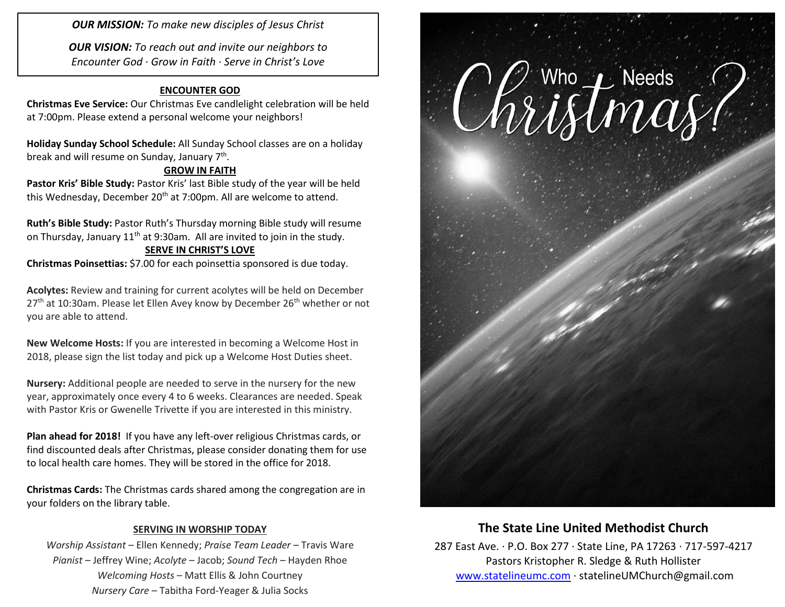*OUR MISSION: To make new disciples of Jesus Christ*

*OUR VISION: To reach out and invite our neighbors to Encounter God · Grow in Faith · Serve in Christ's Love*

#### **ENCOUNTER GOD**

**Christmas Eve Service:** Our Christmas Eve candlelight celebration will be held at 7:00pm. Please extend a personal welcome your neighbors!

**Holiday Sunday School Schedule:** All Sunday School classes are on a holiday break and will resume on Sunday, January 7<sup>th</sup>.

#### **GROW IN FAITH**

Pastor Kris' Bible Study: Pastor Kris' last Bible study of the year will be held this Wednesday, December 20<sup>th</sup> at 7:00pm. All are welcome to attend.

**Ruth's Bible Study:** Pastor Ruth's Thursday morning Bible study will resume on Thursday, January 11<sup>th</sup> at 9:30am. All are invited to join in the study. **SERVE IN CHRIST'S LOVE**

**Christmas Poinsettias:** \$7.00 for each poinsettia sponsored is due today.

**Acolytes:** Review and training for current acolytes will be held on December  $27<sup>th</sup>$  at 10:30am. Please let Ellen Avey know by December 26<sup>th</sup> whether or not you are able to attend.

**New Welcome Hosts:** If you are interested in becoming a Welcome Host in 2018, please sign the list today and pick up a Welcome Host Duties sheet.

**Nursery:** Additional people are needed to serve in the nursery for the new year, approximately once every 4 to 6 weeks. Clearances are needed. Speak with Pastor Kris or Gwenelle Trivette if you are interested in this ministry.

**Plan ahead for 2018!** If you have any left-over religious Christmas cards, or find discounted deals after Christmas, please consider donating them for use to local health care homes. They will be stored in the office for 2018.

**Christmas Cards:** The Christmas cards shared among the congregation are in your folders on the library table.

#### **SERVING IN WORSHIP TODAY**

*Worship Assistant* – Ellen Kennedy; *Praise Team Leader* – Travis Ware *Pianist* – Jeffrey Wine; *Acolyte* – Jacob; *Sound Tech* – Hayden Rhoe *Welcoming Hosts* – Matt Ellis & John Courtney *Nursery Care* – Tabitha Ford-Yeager & Julia Socks



# **The State Line United Methodist Church**

287 East Ave. · P.O. Box 277 · State Line, PA 17263 · 717-597-4217 Pastors Kristopher R. Sledge & Ruth Hollister [www.statelineumc.com](http://www.statelineumc.com/) · statelineUMChurch@gmail.com